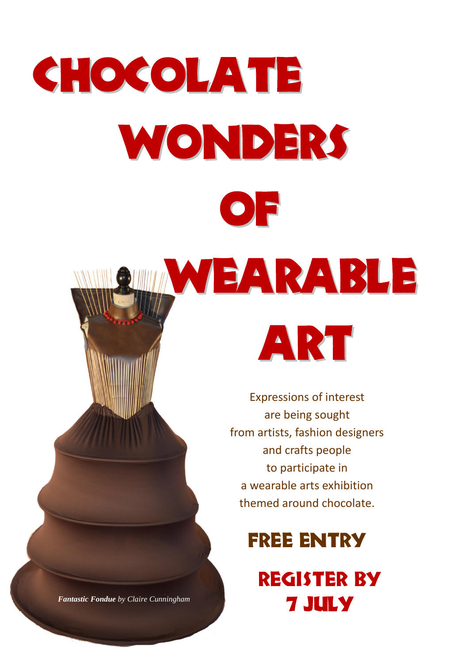

*Fantastic Fondue by Claire Cunningham*

7 JULY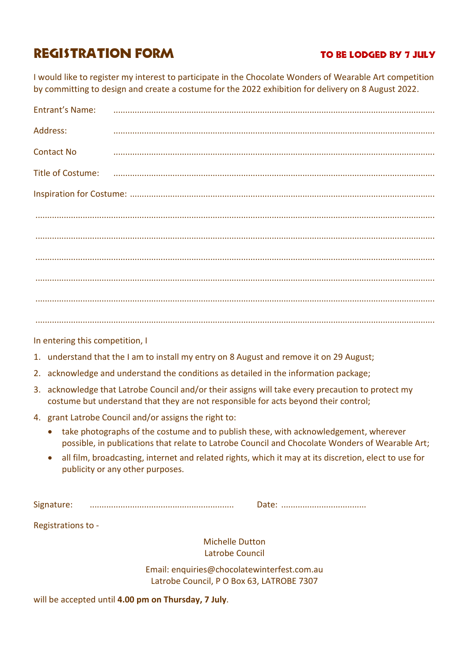# REGISTRATION FORM TO BE LODGED BY 7 JULY

I would like to register my interest to participate in the Chocolate Wonders of Wearable Art competition by committing to design and create a costume for the 2022 exhibition for delivery on 8 August 2022.

| <b>Entrant's Name:</b> |                                                                                                                |  |
|------------------------|----------------------------------------------------------------------------------------------------------------|--|
| Address:               |                                                                                                                |  |
| <b>Contact No</b>      |                                                                                                                |  |
|                        | Title of Costume: использование и политической составительной составительной составительной составительной сос |  |
|                        |                                                                                                                |  |
|                        |                                                                                                                |  |
|                        |                                                                                                                |  |
|                        |                                                                                                                |  |
|                        |                                                                                                                |  |
|                        |                                                                                                                |  |
|                        |                                                                                                                |  |

In entering this competition, I

- 1. understand that the I am to install my entry on 8 August and remove it on 29 August;
- 2. acknowledge and understand the conditions as detailed in the information package;
- 3. acknowledge that Latrobe Council and/or their assigns will take every precaution to protect my costume but understand that they are not responsible for acts beyond their control;
- 4. grant Latrobe Council and/or assigns the right to:
	- take photographs of the costume and to publish these, with acknowledgement, wherever possible, in publications that relate to Latrobe Council and Chocolate Wonders of Wearable Art;
	- all film, broadcasting, internet and related rights, which it may at its discretion, elect to use for publicity or any other purposes.

Signature: ............................................................. Date: ....................................

Registrations to -

Michelle Dutton Latrobe Council

Email: enquiries@chocolatewinterfest.com.au Latrobe Council, P O Box 63, LATROBE 7307

will be accepted until **4.00 pm on Thursday, 7 July**.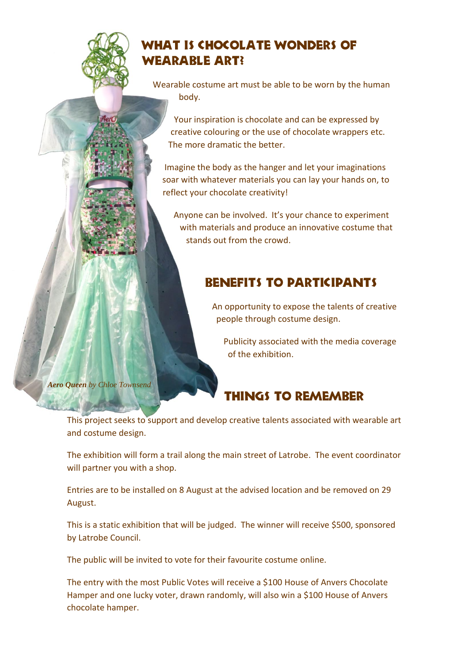

## WHAT IS CHOCOLATE WONDERS OF Wearable Art?

Wearable costume art must be able to be worn by the human body.

Your inspiration is chocolate and can be expressed by creative colouring or the use of chocolate wrappers etc. The more dramatic the better.

Imagine the body as the hanger and let your imaginations soar with whatever materials you can lay your hands on, to reflect your chocolate creativity!

Anyone can be involved. It's your chance to experiment with materials and produce an innovative costume that stands out from the crowd.

## Benefits to Participants

An opportunity to expose the talents of creative people through costume design.

Publicity associated with the media coverage of the exhibition.

*Aero Queen by Chloe Townsend*

# Things to Remember

This project seeks to support and develop creative talents associated with wearable art and costume design.

The exhibition will form a trail along the main street of Latrobe. The event coordinator will partner you with a shop.

Entries are to be installed on 8 August at the advised location and be removed on 29 August.

This is a static exhibition that will be judged. The winner will receive \$500, sponsored by Latrobe Council.

The public will be invited to vote for their favourite costume online.

The entry with the most Public Votes will receive a \$100 House of Anvers Chocolate Hamper and one lucky voter, drawn randomly, will also win a \$100 House of Anvers chocolate hamper.